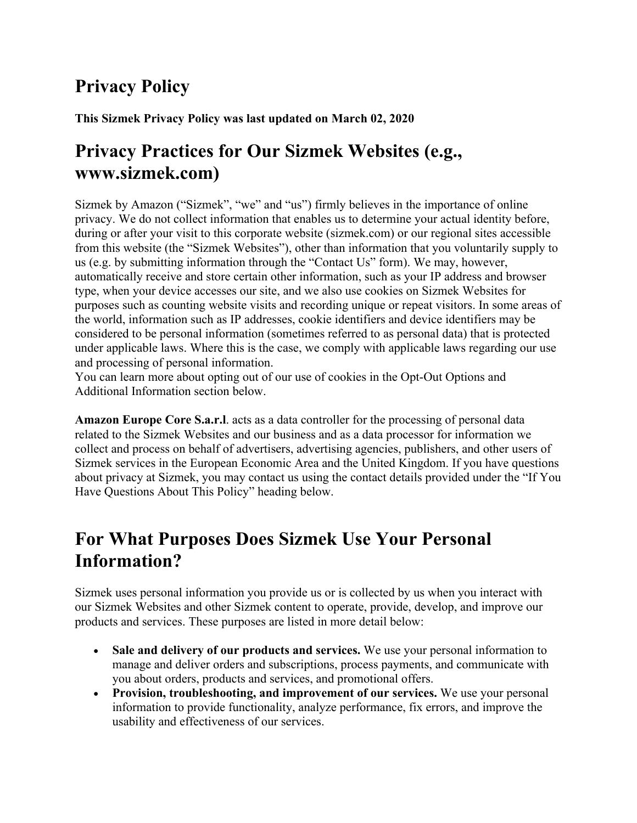# **Privacy Policy**

**This Sizmek Privacy Policy was last updated on March 02, 2020**

# **Privacy Practices for Our Sizmek Websites (e.g., www.sizmek.com)**

Sizmek by Amazon ("Sizmek", "we" and "us") firmly believes in the importance of online privacy. We do not collect information that enables us to determine your actual identity before, during or after your visit to this corporate website (sizmek.com) or our regional sites accessible from this website (the "Sizmek Websites"), other than information that you voluntarily supply to us (e.g. by submitting information through the "Contact Us" form). We may, however, automatically receive and store certain other information, such as your IP address and browser type, when your device accesses our site, and we also use cookies on Sizmek Websites for purposes such as counting website visits and recording unique or repeat visitors. In some areas of the world, information such as IP addresses, cookie identifiers and device identifiers may be considered to be personal information (sometimes referred to as personal data) that is protected under applicable laws. Where this is the case, we comply with applicable laws regarding our use and processing of personal information.

You can learn more about opting out of our use of cookies in the Opt-Out Options and Additional Information section below.

**Amazon Europe Core S.a.r.l**. acts as a data controller for the processing of personal data related to the Sizmek Websites and our business and as a data processor for information we collect and process on behalf of advertisers, advertising agencies, publishers, and other users of Sizmek services in the European Economic Area and the United Kingdom. If you have questions about privacy at Sizmek, you may contact us using the contact details provided under the "If You Have Questions About This Policy" heading below.

# **For What Purposes Does Sizmek Use Your Personal Information?**

Sizmek uses personal information you provide us or is collected by us when you interact with our Sizmek Websites and other Sizmek content to operate, provide, develop, and improve our products and services. These purposes are listed in more detail below:

- **Sale and delivery of our products and services.** We use your personal information to manage and deliver orders and subscriptions, process payments, and communicate with you about orders, products and services, and promotional offers.
- **Provision, troubleshooting, and improvement of our services.** We use your personal information to provide functionality, analyze performance, fix errors, and improve the usability and effectiveness of our services.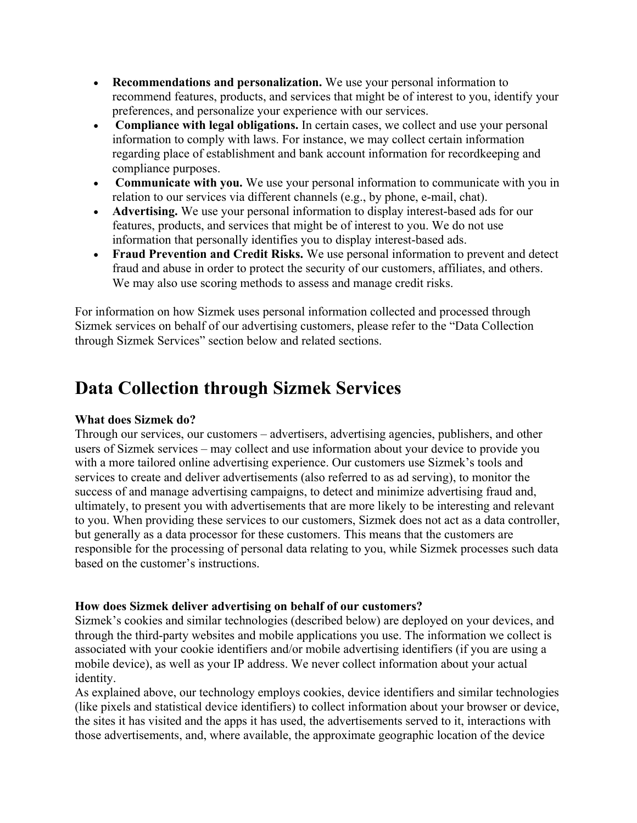- **Recommendations and personalization.** We use your personal information to recommend features, products, and services that might be of interest to you, identify your preferences, and personalize your experience with our services.
- **Compliance with legal obligations.** In certain cases, we collect and use your personal information to comply with laws. For instance, we may collect certain information regarding place of establishment and bank account information for recordkeeping and compliance purposes.
- **Communicate with you.** We use your personal information to communicate with you in relation to our services via different channels (e.g., by phone, e-mail, chat).
- **Advertising.** We use your personal information to display interest-based ads for our features, products, and services that might be of interest to you. We do not use information that personally identifies you to display interest-based ads.
- **Fraud Prevention and Credit Risks.** We use personal information to prevent and detect fraud and abuse in order to protect the security of our customers, affiliates, and others. We may also use scoring methods to assess and manage credit risks.

For information on how Sizmek uses personal information collected and processed through Sizmek services on behalf of our advertising customers, please refer to the "Data Collection through Sizmek Services" section below and related sections.

### **Data Collection through Sizmek Services**

#### **What does Sizmek do?**

Through our services, our customers – advertisers, advertising agencies, publishers, and other users of Sizmek services – may collect and use information about your device to provide you with a more tailored online advertising experience. Our customers use Sizmek's tools and services to create and deliver advertisements (also referred to as ad serving), to monitor the success of and manage advertising campaigns, to detect and minimize advertising fraud and, ultimately, to present you with advertisements that are more likely to be interesting and relevant to you. When providing these services to our customers, Sizmek does not act as a data controller, but generally as a data processor for these customers. This means that the customers are responsible for the processing of personal data relating to you, while Sizmek processes such data based on the customer's instructions.

#### **How does Sizmek deliver advertising on behalf of our customers?**

Sizmek's cookies and similar technologies (described below) are deployed on your devices, and through the third-party websites and mobile applications you use. The information we collect is associated with your cookie identifiers and/or mobile advertising identifiers (if you are using a mobile device), as well as your IP address. We never collect information about your actual identity.

As explained above, our technology employs cookies, device identifiers and similar technologies (like pixels and statistical device identifiers) to collect information about your browser or device, the sites it has visited and the apps it has used, the advertisements served to it, interactions with those advertisements, and, where available, the approximate geographic location of the device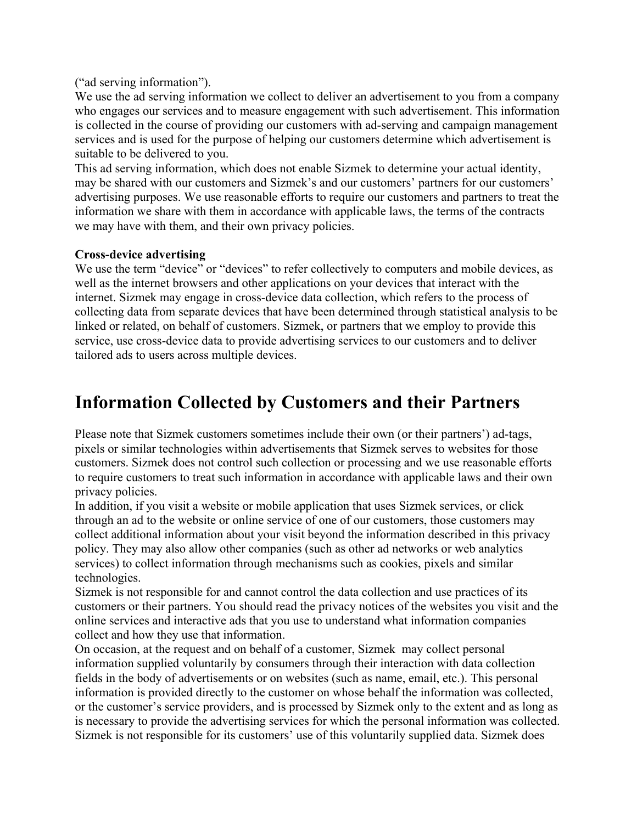("ad serving information").

We use the ad serving information we collect to deliver an advertisement to you from a company who engages our services and to measure engagement with such advertisement. This information is collected in the course of providing our customers with ad-serving and campaign management services and is used for the purpose of helping our customers determine which advertisement is suitable to be delivered to you.

This ad serving information, which does not enable Sizmek to determine your actual identity, may be shared with our customers and Sizmek's and our customers' partners for our customers' advertising purposes. We use reasonable efforts to require our customers and partners to treat the information we share with them in accordance with applicable laws, the terms of the contracts we may have with them, and their own privacy policies.

#### **Cross-device advertising**

We use the term "device" or "devices" to refer collectively to computers and mobile devices, as well as the internet browsers and other applications on your devices that interact with the internet. Sizmek may engage in cross-device data collection, which refers to the process of collecting data from separate devices that have been determined through statistical analysis to be linked or related, on behalf of customers. Sizmek, or partners that we employ to provide this service, use cross-device data to provide advertising services to our customers and to deliver tailored ads to users across multiple devices.

#### **Information Collected by Customers and their Partners**

Please note that Sizmek customers sometimes include their own (or their partners') ad-tags, pixels or similar technologies within advertisements that Sizmek serves to websites for those customers. Sizmek does not control such collection or processing and we use reasonable efforts to require customers to treat such information in accordance with applicable laws and their own privacy policies.

In addition, if you visit a website or mobile application that uses Sizmek services, or click through an ad to the website or online service of one of our customers, those customers may collect additional information about your visit beyond the information described in this privacy policy. They may also allow other companies (such as other ad networks or web analytics services) to collect information through mechanisms such as cookies, pixels and similar technologies.

Sizmek is not responsible for and cannot control the data collection and use practices of its customers or their partners. You should read the privacy notices of the websites you visit and the online services and interactive ads that you use to understand what information companies collect and how they use that information.

On occasion, at the request and on behalf of a customer, Sizmek may collect personal information supplied voluntarily by consumers through their interaction with data collection fields in the body of advertisements or on websites (such as name, email, etc.). This personal information is provided directly to the customer on whose behalf the information was collected, or the customer's service providers, and is processed by Sizmek only to the extent and as long as is necessary to provide the advertising services for which the personal information was collected. Sizmek is not responsible for its customers' use of this voluntarily supplied data. Sizmek does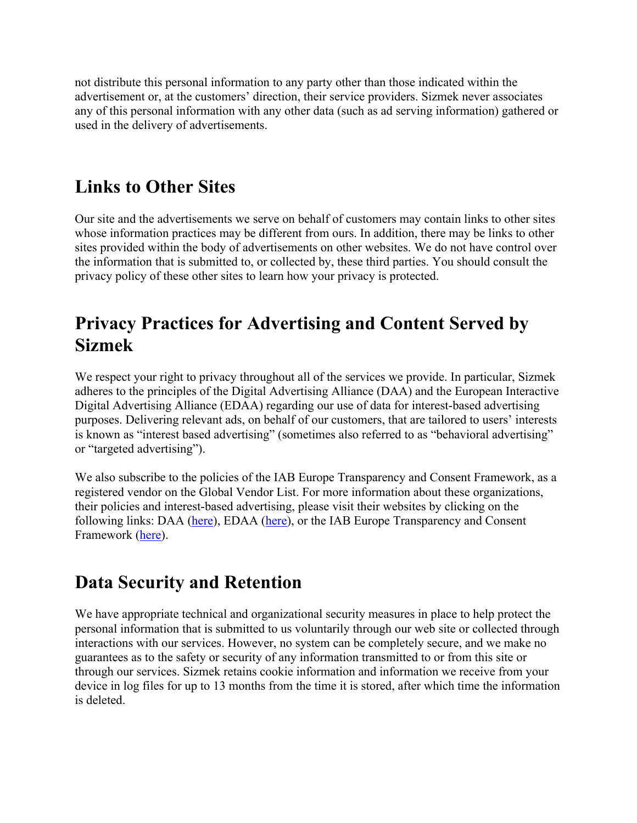not distribute this personal information to any party other than those indicated within the advertisement or, at the customers' direction, their service providers. Sizmek never associates any of this personal information with any other data (such as ad serving information) gathered or used in the delivery of advertisements.

### **Links to Other Sites**

Our site and the advertisements we serve on behalf of customers may contain links to other sites whose information practices may be different from ours. In addition, there may be links to other sites provided within the body of advertisements on other websites. We do not have control over the information that is submitted to, or collected by, these third parties. You should consult the privacy policy of these other sites to learn how your privacy is protected.

# **Privacy Practices for Advertising and Content Served by Sizmek**

We respect your right to privacy throughout all of the services we provide. In particular, Sizmek adheres to the principles of the Digital Advertising Alliance (DAA) and the European Interactive Digital Advertising Alliance (EDAA) regarding our use of data for interest-based advertising purposes. Delivering relevant ads, on behalf of our customers, that are tailored to users' interests is known as "interest based advertising" (sometimes also referred to as "behavioral advertising" or "targeted advertising").

We also subscribe to the policies of the IAB Europe Transparency and Consent Framework, as a registered vendor on the Global Vendor List. For more information about these organizations, their policies and interest-based advertising, please visit their websites by clicking on the following links: DAA (here), EDAA (here), or the IAB Europe Transparency and Consent Framework (here).

### **Data Security and Retention**

We have appropriate technical and organizational security measures in place to help protect the personal information that is submitted to us voluntarily through our web site or collected through interactions with our services. However, no system can be completely secure, and we make no guarantees as to the safety or security of any information transmitted to or from this site or through our services. Sizmek retains cookie information and information we receive from your device in log files for up to 13 months from the time it is stored, after which time the information is deleted.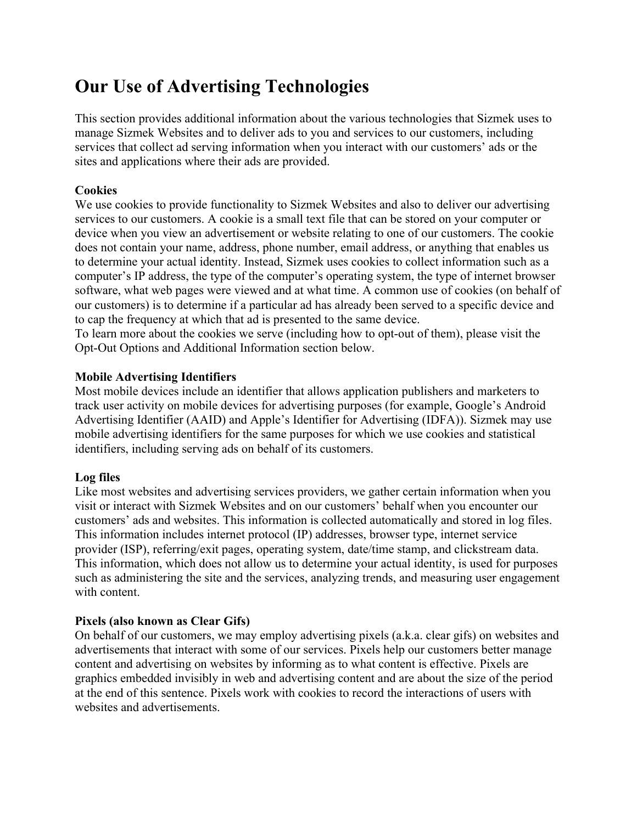# **Our Use of Advertising Technologies**

This section provides additional information about the various technologies that Sizmek uses to manage Sizmek Websites and to deliver ads to you and services to our customers, including services that collect ad serving information when you interact with our customers' ads or the sites and applications where their ads are provided.

#### **Cookies**

We use cookies to provide functionality to Sizmek Websites and also to deliver our advertising services to our customers. A cookie is a small text file that can be stored on your computer or device when you view an advertisement or website relating to one of our customers. The cookie does not contain your name, address, phone number, email address, or anything that enables us to determine your actual identity. Instead, Sizmek uses cookies to collect information such as a computer's IP address, the type of the computer's operating system, the type of internet browser software, what web pages were viewed and at what time. A common use of cookies (on behalf of our customers) is to determine if a particular ad has already been served to a specific device and to cap the frequency at which that ad is presented to the same device.

To learn more about the cookies we serve (including how to opt-out of them), please visit the Opt-Out Options and Additional Information section below.

#### **Mobile Advertising Identifiers**

Most mobile devices include an identifier that allows application publishers and marketers to track user activity on mobile devices for advertising purposes (for example, Google's Android Advertising Identifier (AAID) and Apple's Identifier for Advertising (IDFA)). Sizmek may use mobile advertising identifiers for the same purposes for which we use cookies and statistical identifiers, including serving ads on behalf of its customers.

#### **Log files**

Like most websites and advertising services providers, we gather certain information when you visit or interact with Sizmek Websites and on our customers' behalf when you encounter our customers' ads and websites. This information is collected automatically and stored in log files. This information includes internet protocol (IP) addresses, browser type, internet service provider (ISP), referring/exit pages, operating system, date/time stamp, and clickstream data. This information, which does not allow us to determine your actual identity, is used for purposes such as administering the site and the services, analyzing trends, and measuring user engagement with content.

#### **Pixels (also known as Clear Gifs)**

On behalf of our customers, we may employ advertising pixels (a.k.a. clear gifs) on websites and advertisements that interact with some of our services. Pixels help our customers better manage content and advertising on websites by informing as to what content is effective. Pixels are graphics embedded invisibly in web and advertising content and are about the size of the period at the end of this sentence. Pixels work with cookies to record the interactions of users with websites and advertisements.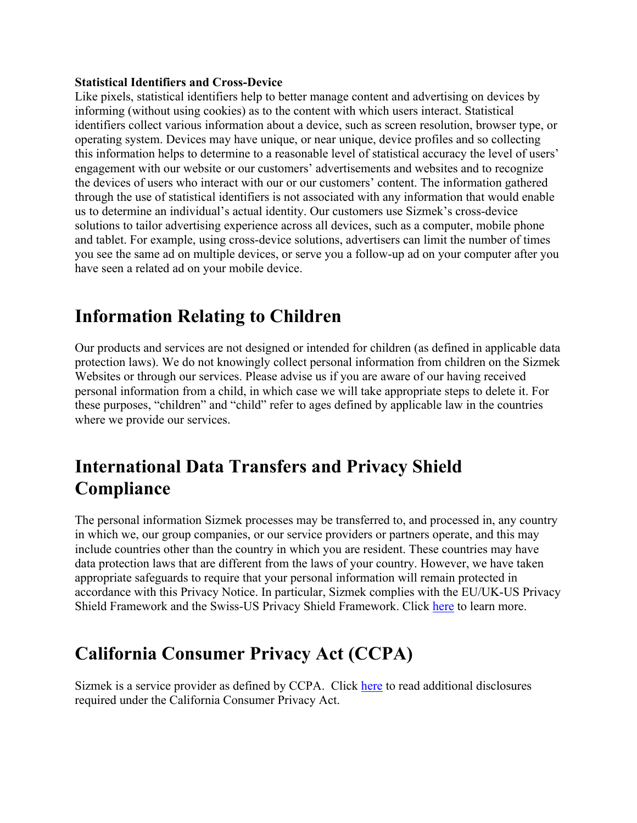#### **Statistical Identifiers and Cross-Device**

Like pixels, statistical identifiers help to better manage content and advertising on devices by informing (without using cookies) as to the content with which users interact. Statistical identifiers collect various information about a device, such as screen resolution, browser type, or operating system. Devices may have unique, or near unique, device profiles and so collecting this information helps to determine to a reasonable level of statistical accuracy the level of users' engagement with our website or our customers' advertisements and websites and to recognize the devices of users who interact with our or our customers' content. The information gathered through the use of statistical identifiers is not associated with any information that would enable us to determine an individual's actual identity. Our customers use Sizmek's cross-device solutions to tailor advertising experience across all devices, such as a computer, mobile phone and tablet. For example, using cross-device solutions, advertisers can limit the number of times you see the same ad on multiple devices, or serve you a follow-up ad on your computer after you have seen a related ad on your mobile device.

# **Information Relating to Children**

Our products and services are not designed or intended for children (as defined in applicable data protection laws). We do not knowingly collect personal information from children on the Sizmek Websites or through our services. Please advise us if you are aware of our having received personal information from a child, in which case we will take appropriate steps to delete it. For these purposes, "children" and "child" refer to ages defined by applicable law in the countries where we provide our services.

# **International Data Transfers and Privacy Shield Compliance**

The personal information Sizmek processes may be transferred to, and processed in, any country in which we, our group companies, or our service providers or partners operate, and this may include countries other than the country in which you are resident. These countries may have data protection laws that are different from the laws of your country. However, we have taken appropriate safeguards to require that your personal information will remain protected in accordance with this Privacy Notice. In particular, Sizmek complies with the EU/UK-US Privacy Shield Framework and the Swiss-US Privacy Shield Framework. Click here to learn more.

# **California Consumer Privacy Act (CCPA)**

Sizmek is a service provider as defined by CCPA. Click here to read additional disclosures required under the California Consumer Privacy Act.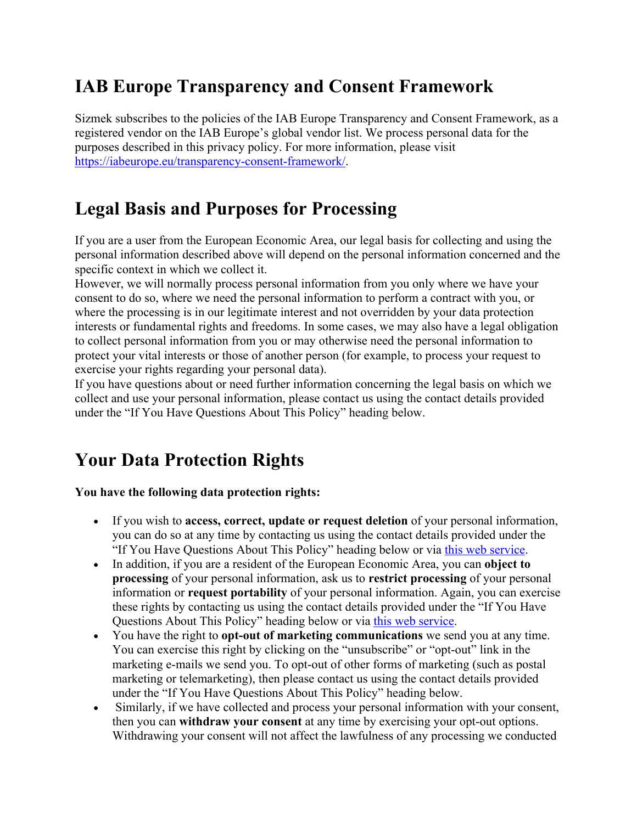# **IAB Europe Transparency and Consent Framework**

Sizmek subscribes to the policies of the IAB Europe Transparency and Consent Framework, as a registered vendor on the IAB Europe's global vendor list. We process personal data for the purposes described in this privacy policy. For more information, please visit https://iabeurope.eu/transparency-consent-framework/.

### **Legal Basis and Purposes for Processing**

If you are a user from the European Economic Area, our legal basis for collecting and using the personal information described above will depend on the personal information concerned and the specific context in which we collect it.

However, we will normally process personal information from you only where we have your consent to do so, where we need the personal information to perform a contract with you, or where the processing is in our legitimate interest and not overridden by your data protection interests or fundamental rights and freedoms. In some cases, we may also have a legal obligation to collect personal information from you or may otherwise need the personal information to protect your vital interests or those of another person (for example, to process your request to exercise your rights regarding your personal data).

If you have questions about or need further information concerning the legal basis on which we collect and use your personal information, please contact us using the contact details provided under the "If You Have Questions About This Policy" heading below.

# **Your Data Protection Rights**

#### **You have the following data protection rights:**

- If you wish to **access, correct, update or request deletion** of your personal information, you can do so at any time by contacting us using the contact details provided under the "If You Have Questions About This Policy" heading below or via this web service.
- In addition, if you are a resident of the European Economic Area, you can **object to processing** of your personal information, ask us to **restrict processing** of your personal information or **request portability** of your personal information. Again, you can exercise these rights by contacting us using the contact details provided under the "If You Have Questions About This Policy" heading below or via this web service.
- You have the right to **opt-out of marketing communications** we send you at any time. You can exercise this right by clicking on the "unsubscribe" or "opt-out" link in the marketing e-mails we send you. To opt-out of other forms of marketing (such as postal marketing or telemarketing), then please contact us using the contact details provided under the "If You Have Questions About This Policy" heading below.
- Similarly, if we have collected and process your personal information with your consent, then you can **withdraw your consent** at any time by exercising your opt-out options. Withdrawing your consent will not affect the lawfulness of any processing we conducted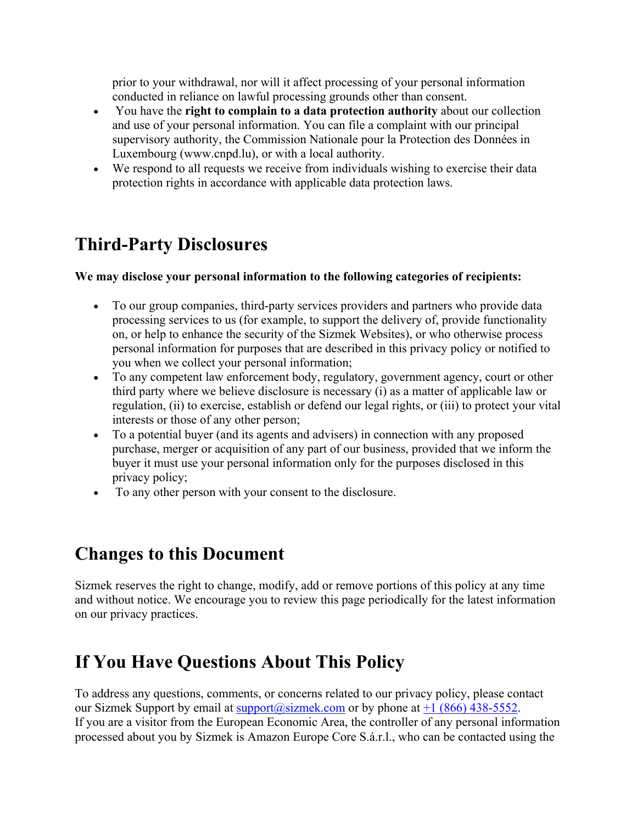prior to your withdrawal, nor will it affect processing of your personal information conducted in reliance on lawful processing grounds other than consent.

- You have the **right to complain to a data protection authority** about our collection and use of your personal information. You can file a complaint with our principal supervisory authority, the Commission Nationale pour la Protection des Données in Luxembourg (www.cnpd.lu), or with a local authority.
- We respond to all requests we receive from individuals wishing to exercise their data protection rights in accordance with applicable data protection laws.

### **Third-Party Disclosures**

#### **We may disclose your personal information to the following categories of recipients:**

- To our group companies, third-party services providers and partners who provide data processing services to us (for example, to support the delivery of, provide functionality on, or help to enhance the security of the Sizmek Websites), or who otherwise process personal information for purposes that are described in this privacy policy or notified to you when we collect your personal information;
- To any competent law enforcement body, regulatory, government agency, court or other third party where we believe disclosure is necessary (i) as a matter of applicable law or regulation, (ii) to exercise, establish or defend our legal rights, or (iii) to protect your vital interests or those of any other person;
- To a potential buyer (and its agents and advisers) in connection with any proposed purchase, merger or acquisition of any part of our business, provided that we inform the buyer it must use your personal information only for the purposes disclosed in this privacy policy;
- To any other person with your consent to the disclosure.

#### **Changes to this Document**

Sizmek reserves the right to change, modify, add or remove portions of this policy at any time and without notice. We encourage you to review this page periodically for the latest information on our privacy practices.

### **If You Have Questions About This Policy**

To address any questions, comments, or concerns related to our privacy policy, please contact our Sizmek Support by email at  $\frac{\text{support}(a\text{is}zmek.com)}{\text{output}(a\text{is}zmek.com)}$  or by phone at  $\pm 1$  (866) 438-5552. If you are a visitor from the European Economic Area, the controller of any personal information processed about you by Sizmek is Amazon Europe Core S.á.r.l., who can be contacted using the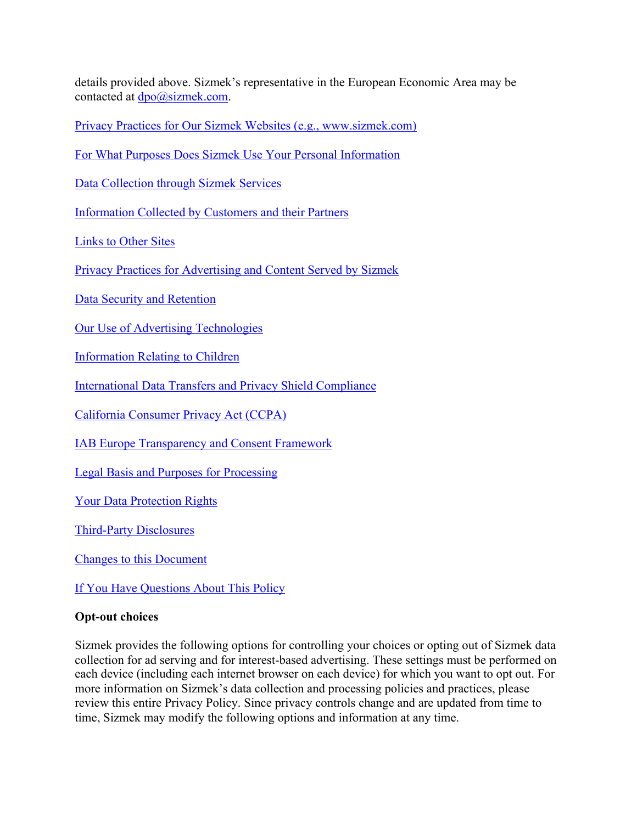details provided above. Sizmek's representative in the European Economic Area may be contacted at  $dpo@sizmek.com$ .

Privacy Practices for Our Sizmek Websites (e.g., www.sizmek.com)

For What Purposes Does Sizmek Use Your Personal Information

Data Collection through Sizmek Services

Information Collected by Customers and their Partners

Links to Other Sites

Privacy Practices for Advertising and Content Served by Sizmek

Data Security and Retention

Our Use of Advertising Technologies

Information Relating to Children

International Data Transfers and Privacy Shield Compliance

California Consumer Privacy Act (CCPA)

IAB Europe Transparency and Consent Framework

Legal Basis and Purposes for Processing

Your Data Protection Rights

Third-Party Disclosures

Changes to this Document

If You Have Questions About This Policy

#### **Opt-out choices**

Sizmek provides the following options for controlling your choices or opting out of Sizmek data collection for ad serving and for interest-based advertising. These settings must be performed on each device (including each internet browser on each device) for which you want to opt out. For more information on Sizmek's data collection and processing policies and practices, please review this entire Privacy Policy. Since privacy controls change and are updated from time to time, Sizmek may modify the following options and information at any time.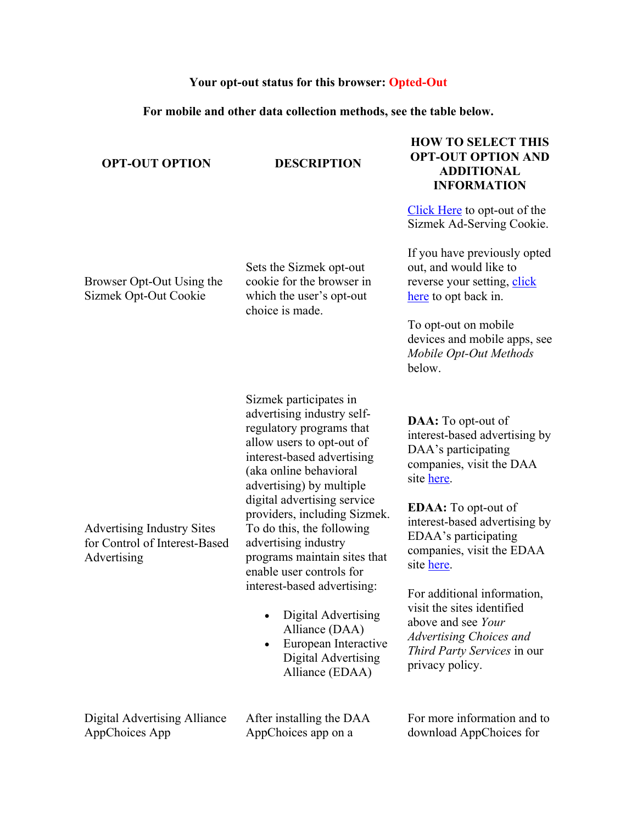#### **Your opt-out status for this browser: Opted-Out**

#### **For mobile and other data collection methods, see the table below.**

#### **OPT-OUT OPTION DESCRIPTION**

Browser Opt-Out Using the Sizmek Opt-Out Cookie

Sets the Sizmek opt-out cookie for the browser in which the user's opt-out

choice is made.

#### **HOW TO SELECT THIS OPT-OUT OPTION AND ADDITIONAL INFORMATION**

Click Here to opt-out of the Sizmek Ad-Serving Cookie.

If you have previously opted out, and would like to reverse your setting, click here to opt back in.

To opt-out on mobile devices and mobile apps, see *Mobile Opt-Out Methods* below.

Advertising Industry Sites for Control of Interest-Based Advertising

Sizmek participates in advertising industry selfregulatory programs that allow users to opt-out of interest-based advertising (aka online behavioral advertising) by multiple digital advertising service providers, including Sizmek. To do this, the following advertising industry programs maintain sites that enable user controls for interest-based advertising:

- Digital Advertising Alliance (DAA)
- European Interactive Digital Advertising Alliance (EDAA)

Digital Advertising Alliance AppChoices App

After installing the DAA AppChoices app on a

**DAA:** To opt-out of interest-based advertising by DAA's participating companies, visit the DAA site here.

**EDAA:** To opt-out of interest-based advertising by EDAA's participating companies, visit the EDAA site here.

For additional information, visit the sites identified above and see *Your Advertising Choices and Third Party Services* in our privacy policy.

For more information and to download AppChoices for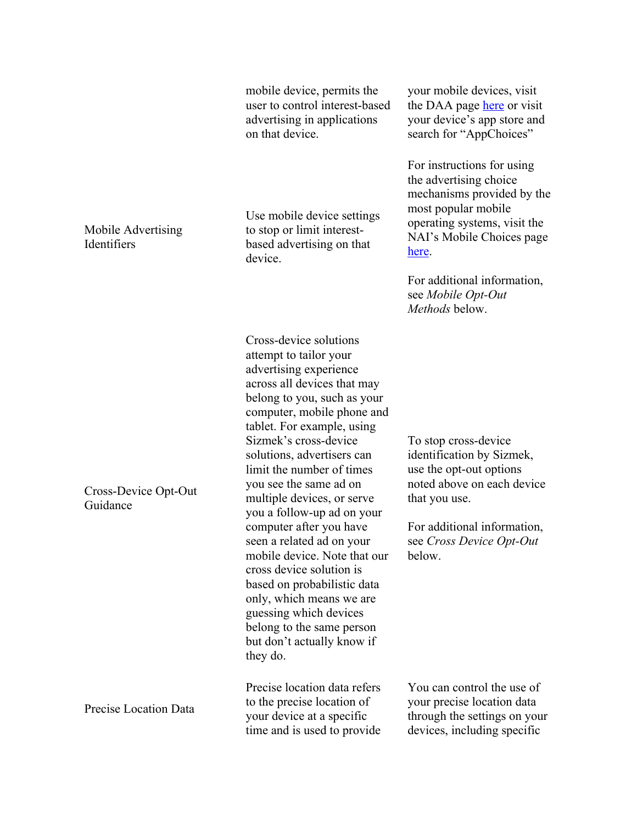|                                   | mobile device, permits the<br>user to control interest-based<br>advertising in applications<br>on that device.                                                                                                                                                                                                                                                                                                                                                                                                                                                                                                                                                 | your mobile devices, visit<br>the DAA page here or visit<br>your device's app store and<br>search for "AppChoices"                                                                               |
|-----------------------------------|----------------------------------------------------------------------------------------------------------------------------------------------------------------------------------------------------------------------------------------------------------------------------------------------------------------------------------------------------------------------------------------------------------------------------------------------------------------------------------------------------------------------------------------------------------------------------------------------------------------------------------------------------------------|--------------------------------------------------------------------------------------------------------------------------------------------------------------------------------------------------|
| Mobile Advertising<br>Identifiers | Use mobile device settings<br>to stop or limit interest-<br>based advertising on that<br>device.                                                                                                                                                                                                                                                                                                                                                                                                                                                                                                                                                               | For instructions for using<br>the advertising choice<br>mechanisms provided by the<br>most popular mobile<br>operating systems, visit the<br>NAI's Mobile Choices page<br>here.                  |
|                                   |                                                                                                                                                                                                                                                                                                                                                                                                                                                                                                                                                                                                                                                                | For additional information,<br>see Mobile Opt-Out<br>Methods below.                                                                                                                              |
| Cross-Device Opt-Out<br>Guidance  | Cross-device solutions<br>attempt to tailor your<br>advertising experience<br>across all devices that may<br>belong to you, such as your<br>computer, mobile phone and<br>tablet. For example, using<br>Sizmek's cross-device<br>solutions, advertisers can<br>limit the number of times<br>you see the same ad on<br>multiple devices, or serve<br>you a follow-up ad on your<br>computer after you have<br>seen a related ad on your<br>mobile device. Note that our<br>cross device solution is<br>based on probabilistic data<br>only, which means we are<br>guessing which devices<br>belong to the same person<br>but don't actually know if<br>they do. | To stop cross-device<br>identification by Sizmek,<br>use the opt-out options<br>noted above on each device<br>that you use.<br>For additional information,<br>see Cross Device Opt-Out<br>below. |
| Precise Location Data             | Precise location data refers<br>to the precise location of<br>your device at a specific<br>time and is used to provide                                                                                                                                                                                                                                                                                                                                                                                                                                                                                                                                         | You can control the use of<br>your precise location data<br>through the settings on your<br>devices, including specific                                                                          |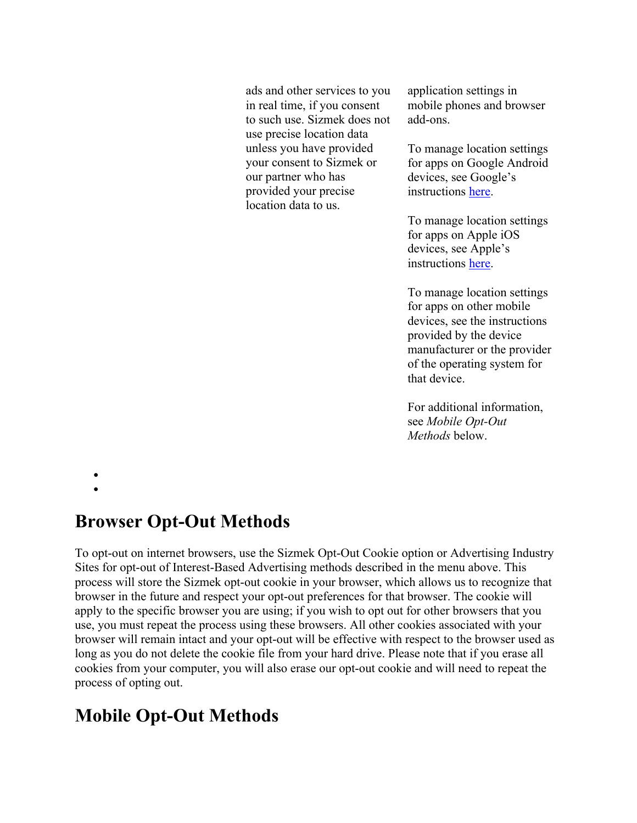ads and other services to you in real time, if you consent to such use. Sizmek does not use precise location data unless you have provided your consent to Sizmek or our partner who has provided your precise location data to us.

application settings in mobile phones and browser add-ons.

To manage location settings for apps on Google Android devices, see Google's instructions here.

To manage location settings for apps on Apple iOS devices, see Apple's instructions here.

To manage location settings for apps on other mobile devices, see the instructions provided by the device manufacturer or the provider of the operating system for that device.

For additional information, see *Mobile Opt-Out Methods* below.

•

#### •

#### **Browser Opt-Out Methods**

To opt-out on internet browsers, use the Sizmek Opt-Out Cookie option or Advertising Industry Sites for opt-out of Interest-Based Advertising methods described in the menu above. This process will store the Sizmek opt-out cookie in your browser, which allows us to recognize that browser in the future and respect your opt-out preferences for that browser. The cookie will apply to the specific browser you are using; if you wish to opt out for other browsers that you use, you must repeat the process using these browsers. All other cookies associated with your browser will remain intact and your opt-out will be effective with respect to the browser used as long as you do not delete the cookie file from your hard drive. Please note that if you erase all cookies from your computer, you will also erase our opt-out cookie and will need to repeat the process of opting out.

# **Mobile Opt-Out Methods**